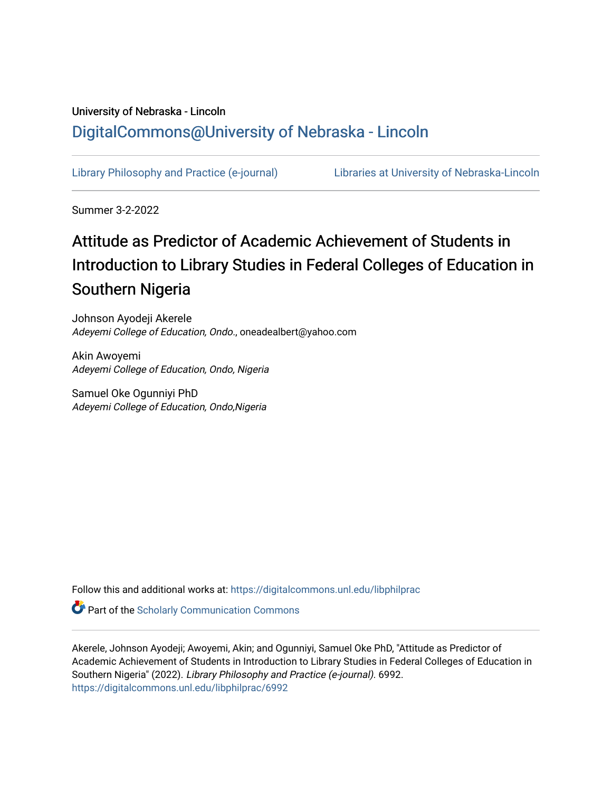## University of Nebraska - Lincoln [DigitalCommons@University of Nebraska - Lincoln](https://digitalcommons.unl.edu/)

[Library Philosophy and Practice \(e-journal\)](https://digitalcommons.unl.edu/libphilprac) [Libraries at University of Nebraska-Lincoln](https://digitalcommons.unl.edu/libraries) 

Summer 3-2-2022

# Attitude as Predictor of Academic Achievement of Students in Introduction to Library Studies in Federal Colleges of Education in Southern Nigeria

Johnson Ayodeji Akerele Adeyemi College of Education, Ondo., oneadealbert@yahoo.com

Akin Awoyemi Adeyemi College of Education, Ondo, Nigeria

Samuel Oke Ogunniyi PhD Adeyemi College of Education, Ondo,Nigeria

Follow this and additional works at: [https://digitalcommons.unl.edu/libphilprac](https://digitalcommons.unl.edu/libphilprac?utm_source=digitalcommons.unl.edu%2Flibphilprac%2F6992&utm_medium=PDF&utm_campaign=PDFCoverPages) 

**Part of the Scholarly Communication Commons** 

Akerele, Johnson Ayodeji; Awoyemi, Akin; and Ogunniyi, Samuel Oke PhD, "Attitude as Predictor of Academic Achievement of Students in Introduction to Library Studies in Federal Colleges of Education in Southern Nigeria" (2022). Library Philosophy and Practice (e-journal). 6992. [https://digitalcommons.unl.edu/libphilprac/6992](https://digitalcommons.unl.edu/libphilprac/6992?utm_source=digitalcommons.unl.edu%2Flibphilprac%2F6992&utm_medium=PDF&utm_campaign=PDFCoverPages)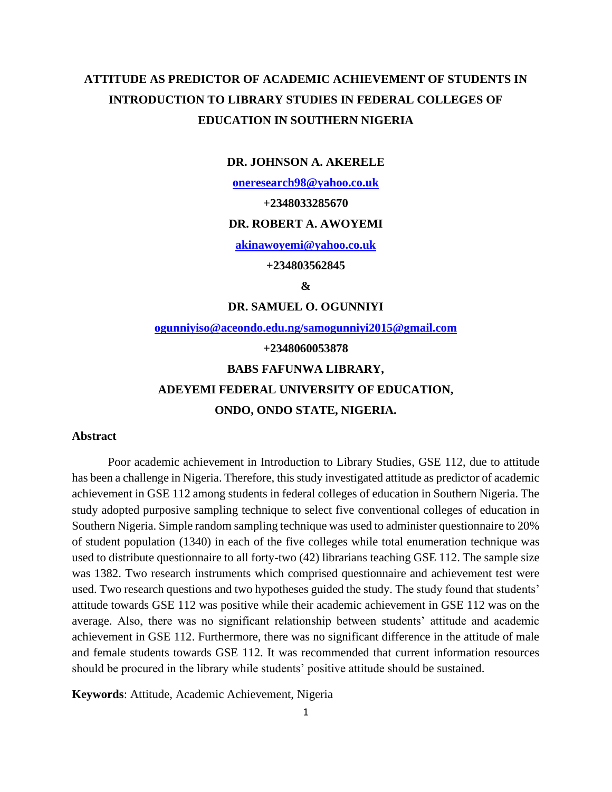## **ATTITUDE AS PREDICTOR OF ACADEMIC ACHIEVEMENT OF STUDENTS IN INTRODUCTION TO LIBRARY STUDIES IN FEDERAL COLLEGES OF EDUCATION IN SOUTHERN NIGERIA**

#### **DR. JOHNSON A. AKERELE**

**[oneresearch98@yahoo.co.uk](mailto:oneresearch98@yahoo.co.uk)**

#### **+2348033285670**

#### **DR. ROBERT A. AWOYEMI**

**[akinawoyemi@yahoo.co.uk](mailto:akinawoyemi@yahoo.co.uk)**

**+234803562845**

**&**

**DR. SAMUEL O. OGUNNIYI**

**[ogunniyiso@aceondo.edu.ng/samogunniyi2015@gmail.com](mailto:ogunniyiso@aceondo.edu.ng/samogunniyi2015@gmail.com)**

#### **+2348060053878**

#### **BABS FAFUNWA LIBRARY,**

## **ADEYEMI FEDERAL UNIVERSITY OF EDUCATION,**

## **ONDO, ONDO STATE, NIGERIA.**

#### **Abstract**

Poor academic achievement in Introduction to Library Studies, GSE 112, due to attitude has been a challenge in Nigeria. Therefore, this study investigated attitude as predictor of academic achievement in GSE 112 among students in federal colleges of education in Southern Nigeria. The study adopted purposive sampling technique to select five conventional colleges of education in Southern Nigeria. Simple random sampling technique was used to administer questionnaire to 20% of student population (1340) in each of the five colleges while total enumeration technique was used to distribute questionnaire to all forty-two (42) librarians teaching GSE 112. The sample size was 1382. Two research instruments which comprised questionnaire and achievement test were used. Two research questions and two hypotheses guided the study. The study found that students' attitude towards GSE 112 was positive while their academic achievement in GSE 112 was on the average. Also, there was no significant relationship between students' attitude and academic achievement in GSE 112. Furthermore, there was no significant difference in the attitude of male and female students towards GSE 112. It was recommended that current information resources should be procured in the library while students' positive attitude should be sustained.

**Keywords**: Attitude, Academic Achievement, Nigeria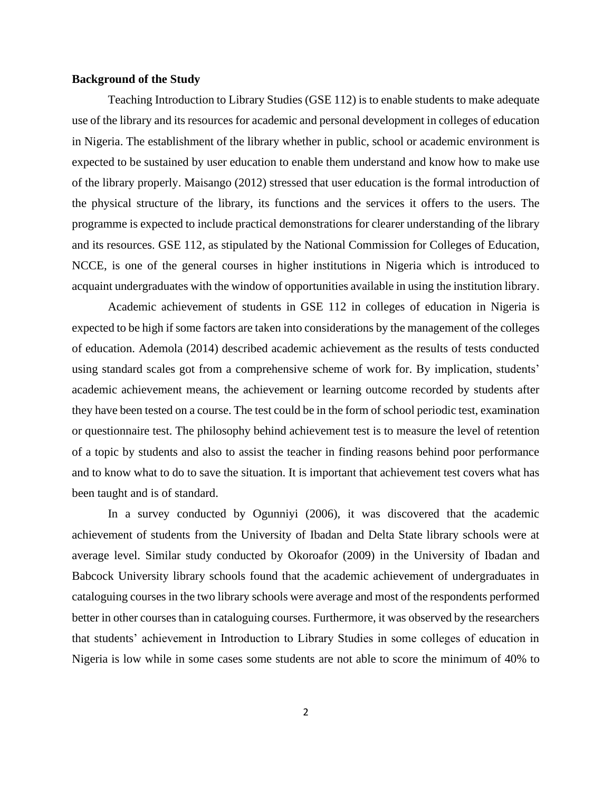#### **Background of the Study**

Teaching Introduction to Library Studies (GSE 112) is to enable students to make adequate use of the library and its resources for academic and personal development in colleges of education in Nigeria. The establishment of the library whether in public, school or academic environment is expected to be sustained by user education to enable them understand and know how to make use of the library properly. Maisango (2012) stressed that user education is the formal introduction of the physical structure of the library, its functions and the services it offers to the users. The programme is expected to include practical demonstrations for clearer understanding of the library and its resources. GSE 112, as stipulated by the National Commission for Colleges of Education, NCCE, is one of the general courses in higher institutions in Nigeria which is introduced to acquaint undergraduates with the window of opportunities available in using the institution library.

Academic achievement of students in GSE 112 in colleges of education in Nigeria is expected to be high if some factors are taken into considerations by the management of the colleges of education. Ademola (2014) described academic achievement as the results of tests conducted using standard scales got from a comprehensive scheme of work for. By implication, students' academic achievement means, the achievement or learning outcome recorded by students after they have been tested on a course. The test could be in the form of school periodic test, examination or questionnaire test. The philosophy behind achievement test is to measure the level of retention of a topic by students and also to assist the teacher in finding reasons behind poor performance and to know what to do to save the situation. It is important that achievement test covers what has been taught and is of standard.

In a survey conducted by Ogunniyi (2006), it was discovered that the academic achievement of students from the University of Ibadan and Delta State library schools were at average level. Similar study conducted by Okoroafor (2009) in the University of Ibadan and Babcock University library schools found that the academic achievement of undergraduates in cataloguing courses in the two library schools were average and most of the respondents performed better in other courses than in cataloguing courses. Furthermore, it was observed by the researchers that students' achievement in Introduction to Library Studies in some colleges of education in Nigeria is low while in some cases some students are not able to score the minimum of 40% to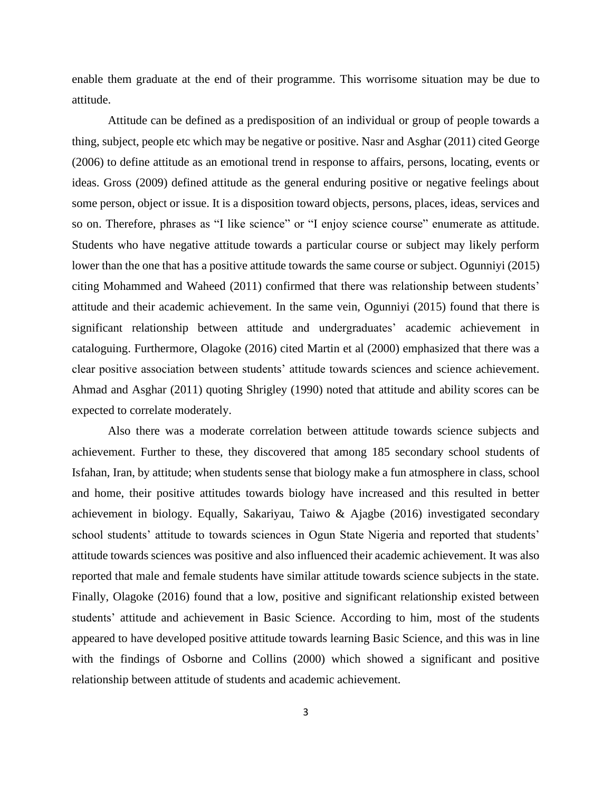enable them graduate at the end of their programme. This worrisome situation may be due to attitude.

Attitude can be defined as a predisposition of an individual or group of people towards a thing, subject, people etc which may be negative or positive. Nasr and Asghar (2011) cited George (2006) to define attitude as an emotional trend in response to affairs, persons, locating, events or ideas. Gross (2009) defined attitude as the general enduring positive or negative feelings about some person, object or issue. It is a disposition toward objects, persons, places, ideas, services and so on. Therefore, phrases as "I like science" or "I enjoy science course" enumerate as attitude. Students who have negative attitude towards a particular course or subject may likely perform lower than the one that has a positive attitude towards the same course or subject. Ogunniyi (2015) citing Mohammed and Waheed (2011) confirmed that there was relationship between students' attitude and their academic achievement. In the same vein, Ogunniyi (2015) found that there is significant relationship between attitude and undergraduates' academic achievement in cataloguing. Furthermore, Olagoke (2016) cited Martin et al (2000) emphasized that there was a clear positive association between students' attitude towards sciences and science achievement. Ahmad and Asghar (2011) quoting Shrigley (1990) noted that attitude and ability scores can be expected to correlate moderately.

Also there was a moderate correlation between attitude towards science subjects and achievement. Further to these, they discovered that among 185 secondary school students of Isfahan, Iran, by attitude; when students sense that biology make a fun atmosphere in class, school and home, their positive attitudes towards biology have increased and this resulted in better achievement in biology. Equally, Sakariyau, Taiwo & Ajagbe (2016) investigated secondary school students' attitude to towards sciences in Ogun State Nigeria and reported that students' attitude towards sciences was positive and also influenced their academic achievement. It was also reported that male and female students have similar attitude towards science subjects in the state. Finally, Olagoke (2016) found that a low, positive and significant relationship existed between students' attitude and achievement in Basic Science. According to him, most of the students appeared to have developed positive attitude towards learning Basic Science, and this was in line with the findings of Osborne and Collins (2000) which showed a significant and positive relationship between attitude of students and academic achievement.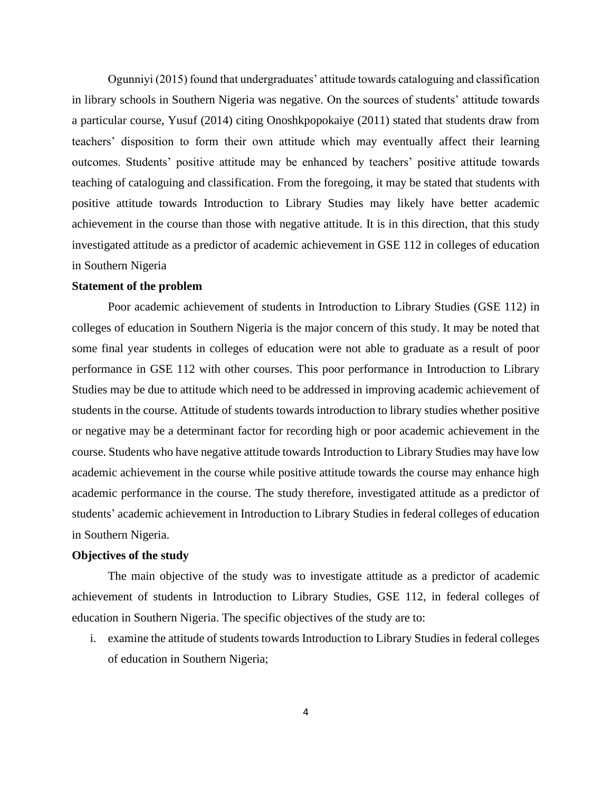Ogunniyi (2015) found that undergraduates' attitude towards cataloguing and classification in library schools in Southern Nigeria was negative. On the sources of students' attitude towards a particular course, Yusuf (2014) citing Onoshkpopokaiye (2011) stated that students draw from teachers' disposition to form their own attitude which may eventually affect their learning outcomes. Students' positive attitude may be enhanced by teachers' positive attitude towards teaching of cataloguing and classification. From the foregoing, it may be stated that students with positive attitude towards Introduction to Library Studies may likely have better academic achievement in the course than those with negative attitude. It is in this direction, that this study investigated attitude as a predictor of academic achievement in GSE 112 in colleges of education in Southern Nigeria

#### **Statement of the problem**

Poor academic achievement of students in Introduction to Library Studies (GSE 112) in colleges of education in Southern Nigeria is the major concern of this study. It may be noted that some final year students in colleges of education were not able to graduate as a result of poor performance in GSE 112 with other courses. This poor performance in Introduction to Library Studies may be due to attitude which need to be addressed in improving academic achievement of students in the course. Attitude of students towards introduction to library studies whether positive or negative may be a determinant factor for recording high or poor academic achievement in the course. Students who have negative attitude towards Introduction to Library Studies may have low academic achievement in the course while positive attitude towards the course may enhance high academic performance in the course. The study therefore, investigated attitude as a predictor of students' academic achievement in Introduction to Library Studies in federal colleges of education in Southern Nigeria.

### **Objectives of the study**

The main objective of the study was to investigate attitude as a predictor of academic achievement of students in Introduction to Library Studies, GSE 112, in federal colleges of education in Southern Nigeria. The specific objectives of the study are to:

i. examine the attitude of students towards Introduction to Library Studies in federal colleges of education in Southern Nigeria;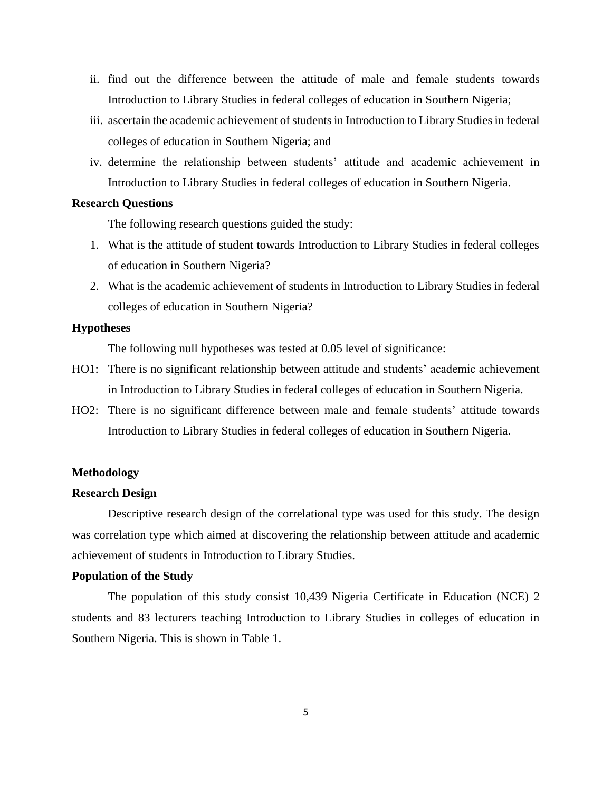- ii. find out the difference between the attitude of male and female students towards Introduction to Library Studies in federal colleges of education in Southern Nigeria;
- iii. ascertain the academic achievement of students in Introduction to Library Studies in federal colleges of education in Southern Nigeria; and
- iv. determine the relationship between students' attitude and academic achievement in Introduction to Library Studies in federal colleges of education in Southern Nigeria.

## **Research Questions**

The following research questions guided the study:

- 1. What is the attitude of student towards Introduction to Library Studies in federal colleges of education in Southern Nigeria?
- 2. What is the academic achievement of students in Introduction to Library Studies in federal colleges of education in Southern Nigeria?

#### **Hypotheses**

The following null hypotheses was tested at 0.05 level of significance:

- HO1: There is no significant relationship between attitude and students' academic achievement in Introduction to Library Studies in federal colleges of education in Southern Nigeria.
- HO2: There is no significant difference between male and female students' attitude towards Introduction to Library Studies in federal colleges of education in Southern Nigeria.

#### **Methodology**

#### **Research Design**

Descriptive research design of the correlational type was used for this study. The design was correlation type which aimed at discovering the relationship between attitude and academic achievement of students in Introduction to Library Studies.

#### **Population of the Study**

The population of this study consist 10,439 Nigeria Certificate in Education (NCE) 2 students and 83 lecturers teaching Introduction to Library Studies in colleges of education in Southern Nigeria. This is shown in Table 1.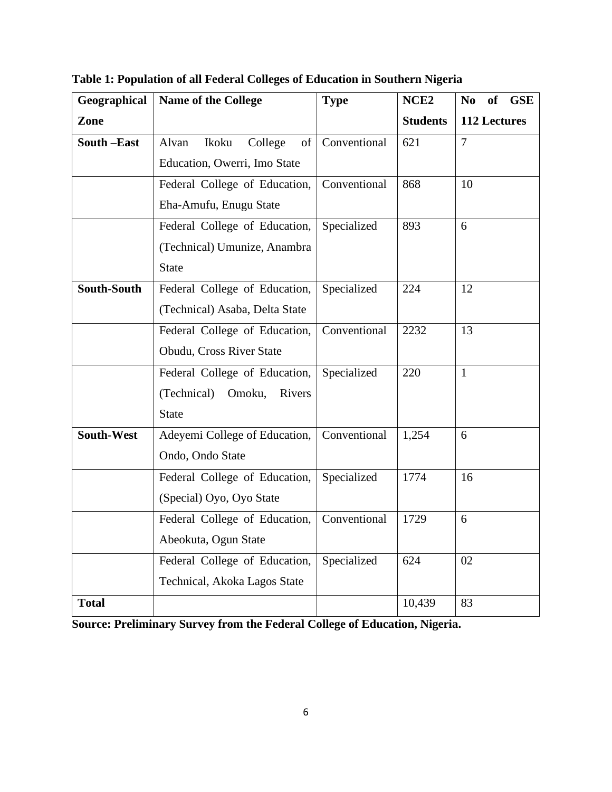| Geographical | Name of the College             | <b>Type</b>  | NCE <sub>2</sub> | <b>GSE</b><br>N <sub>0</sub><br><b>of</b> |
|--------------|---------------------------------|--------------|------------------|-------------------------------------------|
| Zone         |                                 |              | <b>Students</b>  | 112 Lectures                              |
| South-East   | College<br>Alvan<br>Ikoku<br>of | Conventional | 621              | $\overline{7}$                            |
|              | Education, Owerri, Imo State    |              |                  |                                           |
|              | Federal College of Education,   | Conventional | 868              | 10                                        |
|              | Eha-Amufu, Enugu State          |              |                  |                                           |
|              | Federal College of Education,   | Specialized  | 893              | 6                                         |
|              | (Technical) Umunize, Anambra    |              |                  |                                           |
|              | <b>State</b>                    |              |                  |                                           |
| South-South  | Federal College of Education,   | Specialized  | 224              | 12                                        |
|              | (Technical) Asaba, Delta State  |              |                  |                                           |
|              | Federal College of Education,   | Conventional | 2232             | 13                                        |
|              | Obudu, Cross River State        |              |                  |                                           |
|              | Federal College of Education,   | Specialized  | 220              | 1                                         |
|              | (Technical)<br>Omoku,<br>Rivers |              |                  |                                           |
|              | <b>State</b>                    |              |                  |                                           |
| South-West   | Adeyemi College of Education,   | Conventional | 1,254            | 6                                         |
|              | Ondo, Ondo State                |              |                  |                                           |
|              | Federal College of Education,   | Specialized  | 1774             | 16                                        |
|              | (Special) Oyo, Oyo State        |              |                  |                                           |
|              | Federal College of Education,   | Conventional | 1729             | 6                                         |
|              | Abeokuta, Ogun State            |              |                  |                                           |
|              | Federal College of Education,   | Specialized  | 624              | 02                                        |
|              | Technical, Akoka Lagos State    |              |                  |                                           |
| <b>Total</b> |                                 |              | 10,439           | 83                                        |

**Table 1: Population of all Federal Colleges of Education in Southern Nigeria**

**Source: Preliminary Survey from the Federal College of Education, Nigeria.**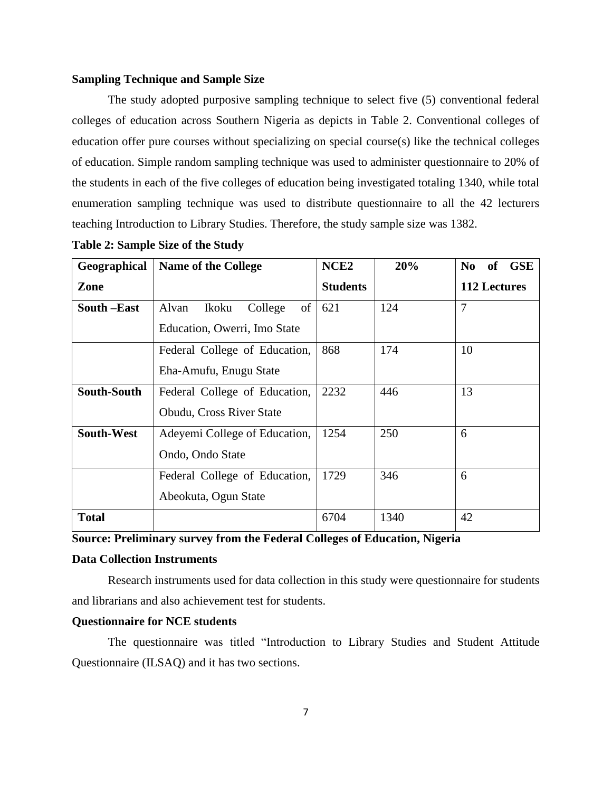#### **Sampling Technique and Sample Size**

The study adopted purposive sampling technique to select five (5) conventional federal colleges of education across Southern Nigeria as depicts in Table 2. Conventional colleges of education offer pure courses without specializing on special course(s) like the technical colleges of education. Simple random sampling technique was used to administer questionnaire to 20% of the students in each of the five colleges of education being investigated totaling 1340, while total enumeration sampling technique was used to distribute questionnaire to all the 42 lecturers teaching Introduction to Library Studies. Therefore, the study sample size was 1382.

| Geographical      | <b>Name of the College</b>      | NCE <sub>2</sub> | 20%  | N <sub>0</sub><br><b>of</b><br><b>GSE</b> |
|-------------------|---------------------------------|------------------|------|-------------------------------------------|
| Zone              |                                 | <b>Students</b>  |      | 112 Lectures                              |
| South –East       | of<br>College<br>Alvan<br>Ikoku | 621              | 124  | $\overline{7}$                            |
|                   | Education, Owerri, Imo State    |                  |      |                                           |
|                   | Federal College of Education,   | 868              | 174  | 10                                        |
|                   | Eha-Amufu, Enugu State          |                  |      |                                           |
| South-South       | Federal College of Education,   | 2232             | 446  | 13                                        |
|                   | Obudu, Cross River State        |                  |      |                                           |
| <b>South-West</b> | Adeyemi College of Education,   | 1254             | 250  | 6                                         |
|                   | Ondo, Ondo State                |                  |      |                                           |
|                   | Federal College of Education,   | 1729             | 346  | 6                                         |
|                   | Abeokuta, Ogun State            |                  |      |                                           |
| <b>Total</b>      |                                 | 6704             | 1340 | 42                                        |

| <b>Table 2: Sample Size of the Study</b> |  |  |
|------------------------------------------|--|--|
|------------------------------------------|--|--|

**Source: Preliminary survey from the Federal Colleges of Education, Nigeria**

#### **Data Collection Instruments**

Research instruments used for data collection in this study were questionnaire for students and librarians and also achievement test for students.

## **Questionnaire for NCE students**

The questionnaire was titled "Introduction to Library Studies and Student Attitude Questionnaire (ILSAQ) and it has two sections.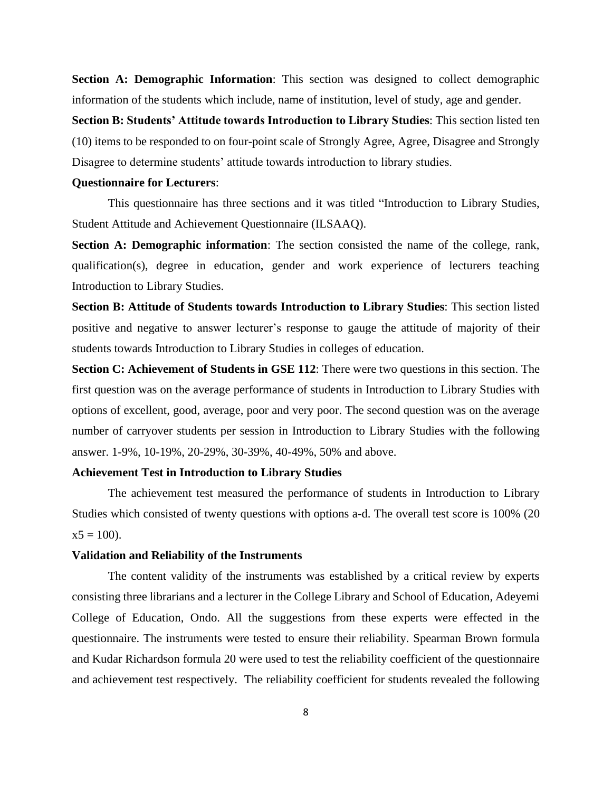**Section A: Demographic Information**: This section was designed to collect demographic information of the students which include, name of institution, level of study, age and gender.

**Section B: Students' Attitude towards Introduction to Library Studies**: This section listed ten (10) items to be responded to on four-point scale of Strongly Agree, Agree, Disagree and Strongly Disagree to determine students' attitude towards introduction to library studies.

#### **Questionnaire for Lecturers**:

This questionnaire has three sections and it was titled "Introduction to Library Studies, Student Attitude and Achievement Questionnaire (ILSAAQ).

**Section A: Demographic information**: The section consisted the name of the college, rank, qualification(s), degree in education, gender and work experience of lecturers teaching Introduction to Library Studies.

**Section B: Attitude of Students towards Introduction to Library Studies**: This section listed positive and negative to answer lecturer's response to gauge the attitude of majority of their students towards Introduction to Library Studies in colleges of education.

**Section C: Achievement of Students in GSE 112**: There were two questions in this section. The first question was on the average performance of students in Introduction to Library Studies with options of excellent, good, average, poor and very poor. The second question was on the average number of carryover students per session in Introduction to Library Studies with the following answer. 1-9%, 10-19%, 20-29%, 30-39%, 40-49%, 50% and above.

#### **Achievement Test in Introduction to Library Studies**

The achievement test measured the performance of students in Introduction to Library Studies which consisted of twenty questions with options a-d. The overall test score is 100% (20  $x5 = 100$ ).

#### **Validation and Reliability of the Instruments**

The content validity of the instruments was established by a critical review by experts consisting three librarians and a lecturer in the College Library and School of Education, Adeyemi College of Education, Ondo. All the suggestions from these experts were effected in the questionnaire. The instruments were tested to ensure their reliability. Spearman Brown formula and Kudar Richardson formula 20 were used to test the reliability coefficient of the questionnaire and achievement test respectively. The reliability coefficient for students revealed the following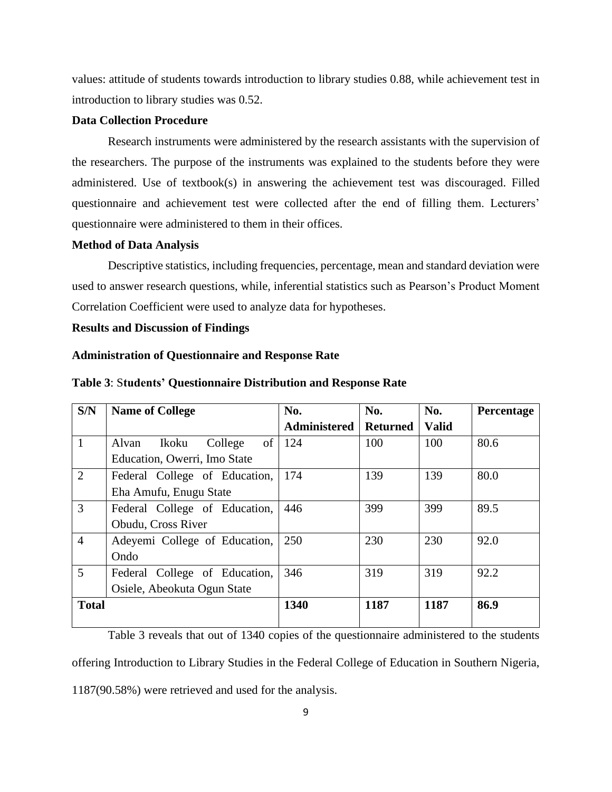values: attitude of students towards introduction to library studies 0.88, while achievement test in introduction to library studies was 0.52.

#### **Data Collection Procedure**

Research instruments were administered by the research assistants with the supervision of the researchers. The purpose of the instruments was explained to the students before they were administered. Use of textbook(s) in answering the achievement test was discouraged. Filled questionnaire and achievement test were collected after the end of filling them. Lecturers' questionnaire were administered to them in their offices.

#### **Method of Data Analysis**

Descriptive statistics, including frequencies, percentage, mean and standard deviation were used to answer research questions, while, inferential statistics such as Pearson's Product Moment Correlation Coefficient were used to analyze data for hypotheses.

#### **Results and Discussion of Findings**

#### **Administration of Questionnaire and Response Rate**

| S/N            | <b>Name of College</b>        | No.                 | No.             | No.          | Percentage |
|----------------|-------------------------------|---------------------|-----------------|--------------|------------|
|                |                               | <b>Administered</b> | <b>Returned</b> | <b>Valid</b> |            |
| $\mathbf{1}$   | College<br>Alvan<br>Ikoku     | of $\vert$ 124      | 100             | 100          | 80.6       |
|                | Education, Owerri, Imo State  |                     |                 |              |            |
| $\overline{2}$ | Federal College of Education, | 174                 | 139             | 139          | 80.0       |
|                | Eha Amufu, Enugu State        |                     |                 |              |            |
| 3              | Federal College of Education, | 446                 | 399             | 399          | 89.5       |
|                | Obudu, Cross River            |                     |                 |              |            |
| $\overline{4}$ | Adeyemi College of Education, | 250                 | 230             | 230          | 92.0       |
|                | Ondo                          |                     |                 |              |            |
| 5              | Federal College of Education, | 346                 | 319             | 319          | 92.2       |
|                | Osiele, Abeokuta Ogun State   |                     |                 |              |            |
| <b>Total</b>   |                               | 1340                | 1187            | 1187         | 86.9       |
|                |                               |                     |                 |              |            |

#### **Table 3**: S**tudents' Questionnaire Distribution and Response Rate**

Table 3 reveals that out of 1340 copies of the questionnaire administered to the students offering Introduction to Library Studies in the Federal College of Education in Southern Nigeria, 1187(90.58%) were retrieved and used for the analysis.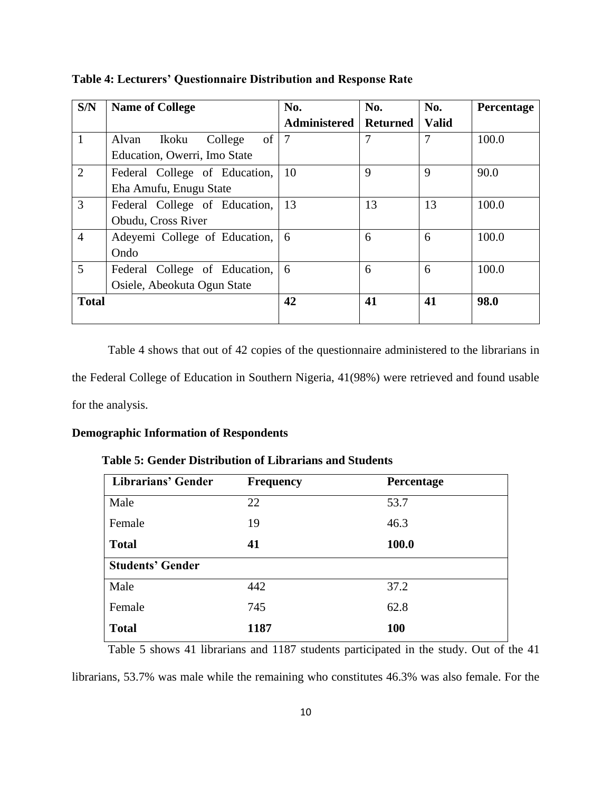| S/N            | <b>Name of College</b>          | No.                 | No.             | No.          | Percentage |
|----------------|---------------------------------|---------------------|-----------------|--------------|------------|
|                |                                 | <b>Administered</b> | <b>Returned</b> | <b>Valid</b> |            |
|                | of<br>College<br>Ikoku<br>Alvan |                     | 7               | 7            | 100.0      |
|                | Education, Owerri, Imo State    |                     |                 |              |            |
| 2              | Federal College of Education,   | 10                  | 9               | 9            | 90.0       |
|                | Eha Amufu, Enugu State          |                     |                 |              |            |
| 3              | Federal College of Education,   | 13                  | 13              | 13           | 100.0      |
|                | Obudu, Cross River              |                     |                 |              |            |
| $\overline{4}$ | Adeyemi College of Education,   | 6                   | 6               | 6            | 100.0      |
|                | Ondo                            |                     |                 |              |            |
| 5              | Federal College of Education,   | 6                   | 6               | 6            | 100.0      |
|                | Osiele, Abeokuta Ogun State     |                     |                 |              |            |
| <b>Total</b>   |                                 | 42                  | 41              | 41           | 98.0       |
|                |                                 |                     |                 |              |            |

**Table 4: Lecturers' Questionnaire Distribution and Response Rate**

Table 4 shows that out of 42 copies of the questionnaire administered to the librarians in the Federal College of Education in Southern Nigeria, 41(98%) were retrieved and found usable for the analysis.

## **Demographic Information of Respondents**

### **Table 5: Gender Distribution of Librarians and Students**

| <b>Librarians' Gender</b> | <b>Frequency</b> | Percentage |
|---------------------------|------------------|------------|
| Male                      | 22               | 53.7       |
| Female                    | 19               | 46.3       |
| <b>Total</b>              | 41               | 100.0      |
| <b>Students' Gender</b>   |                  |            |
| Male                      | 442              | 37.2       |
| Female                    | 745              | 62.8       |
| <b>Total</b>              | 1187             | <b>100</b> |

Table 5 shows 41 librarians and 1187 students participated in the study. Out of the 41

librarians, 53.7% was male while the remaining who constitutes 46.3% was also female. For the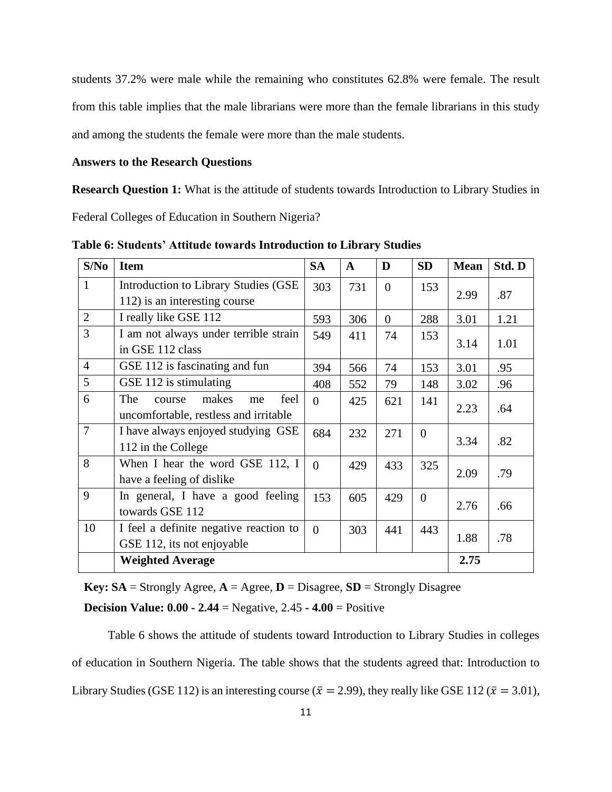students 37.2% were male while the remaining who constitutes 62.8% were female. The result from this table implies that the male librarians were more than the female librarians in this study and among the students the female were more than the male students.

#### **Answers to the Research Questions**

**Research Question 1:** What is the attitude of students towards Introduction to Library Studies in

Federal Colleges of Education in Southern Nigeria?

| S/No           | <b>Item</b>                            | <b>SA</b> | $\mathbf{A}$ | D        | <b>SD</b> | <b>Mean</b> | Std. D |
|----------------|----------------------------------------|-----------|--------------|----------|-----------|-------------|--------|
| $\mathbf{1}$   | Introduction to Library Studies (GSE)  | 303       | 731          | $\Omega$ | 153       |             |        |
|                | 112) is an interesting course          |           |              |          |           | 2.99        | .87    |
| $\overline{2}$ | I really like GSE 112                  | 593       | 306          | $\theta$ | 288       | 3.01        | 1.21   |
| 3              | I am not always under terrible strain  | 549       | 411          | 74       | 153       |             |        |
|                | in GSE 112 class                       |           |              |          |           | 3.14        | 1.01   |
| $\overline{4}$ | GSE 112 is fascinating and fun         | 394       | 566          | 74       | 153       | 3.01        | .95    |
| 5              | GSE 112 is stimulating                 | 408       | 552          | 79       | 148       | 3.02        | .96    |
| 6              | The<br>feel<br>makes<br>course<br>me   | $\Omega$  | 425          | 621      | 141       |             |        |
|                | uncomfortable, restless and irritable  |           |              |          |           | 2.23        | .64    |
| $\overline{7}$ | I have always enjoyed studying GSE     | 684       | 232          | 271      | $\Omega$  | 3.34        | .82    |
|                | 112 in the College                     |           |              |          |           |             |        |
| 8              | When I hear the word GSE 112, I        | $\theta$  | 429          | 433      | 325       | 2.09        | .79    |
|                | have a feeling of dislike              |           |              |          |           |             |        |
| 9              | In general, I have a good feeling      | 153       | 605          | 429      | $\Omega$  | 2.76        | .66    |
|                | towards GSE 112                        |           |              |          |           |             |        |
| 10             | I feel a definite negative reaction to | $\theta$  | 303          | 441      | 443       |             |        |
|                | GSE 112, its not enjoyable             |           |              |          |           | 1.88        | .78    |
|                | <b>Weighted Average</b>                |           |              |          |           | 2.75        |        |

**Table 6: Students' Attitude towards Introduction to Library Studies** 

**Key: SA** = Strongly Agree,  $A = \text{Agree}, D = \text{Disagree}, SD = \text{Strongly Disagree}$ 

 **Decision Value: 0.00 - 2.44** = Negative, 2.45 **- 4.00** = Positive

Table 6 shows the attitude of students toward Introduction to Library Studies in colleges of education in Southern Nigeria. The table shows that the students agreed that: Introduction to Library Studies (GSE 112) is an interesting course ( $\bar{x} = 2.99$ ), they really like GSE 112 ( $\bar{x} = 3.01$ ),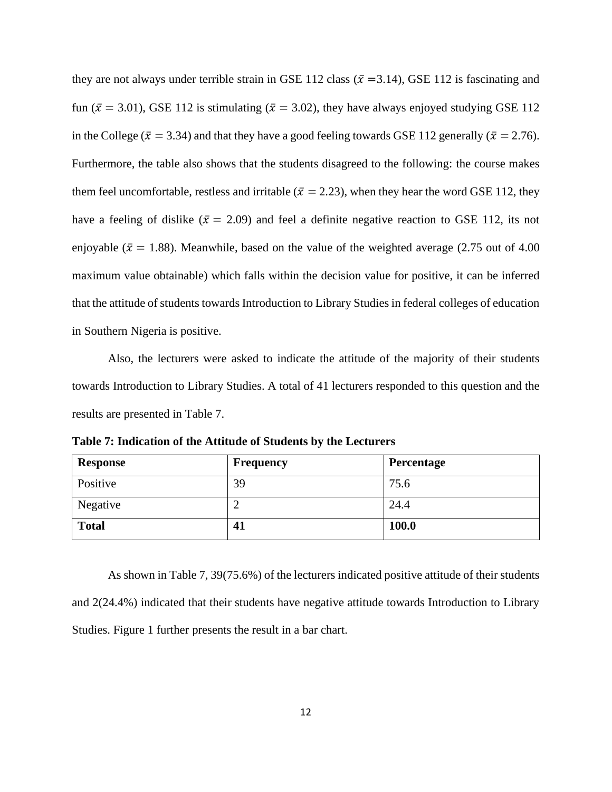they are not always under terrible strain in GSE 112 class ( $\bar{x}$  =3.14), GSE 112 is fascinating and fun ( $\bar{x}$  = 3.01), GSE 112 is stimulating ( $\bar{x}$  = 3.02), they have always enjoyed studying GSE 112 in the College ( $\bar{x}$  = 3.34) and that they have a good feeling towards GSE 112 generally ( $\bar{x}$  = 2.76). Furthermore, the table also shows that the students disagreed to the following: the course makes them feel uncomfortable, restless and irritable ( $\bar{x} = 2.23$ ), when they hear the word GSE 112, they have a feeling of dislike ( $\bar{x} = 2.09$ ) and feel a definite negative reaction to GSE 112, its not enjoyable ( $\bar{x}$  = 1.88). Meanwhile, based on the value of the weighted average (2.75 out of 4.00 maximum value obtainable) which falls within the decision value for positive, it can be inferred that the attitude of students towards Introduction to Library Studies in federal colleges of education in Southern Nigeria is positive.

Also, the lecturers were asked to indicate the attitude of the majority of their students towards Introduction to Library Studies. A total of 41 lecturers responded to this question and the results are presented in Table 7.

| Table 7: Indication of the Attitude of Students by the Lecturers |  |
|------------------------------------------------------------------|--|
|------------------------------------------------------------------|--|

| <b>Response</b> | Frequency | Percentage |
|-----------------|-----------|------------|
| Positive        | 39        | 75.6       |
| Negative        |           | 24.4       |
| <b>Total</b>    | 41        | 100.0      |

As shown in Table 7, 39(75.6%) of the lecturers indicated positive attitude of their students and 2(24.4%) indicated that their students have negative attitude towards Introduction to Library Studies. Figure 1 further presents the result in a bar chart.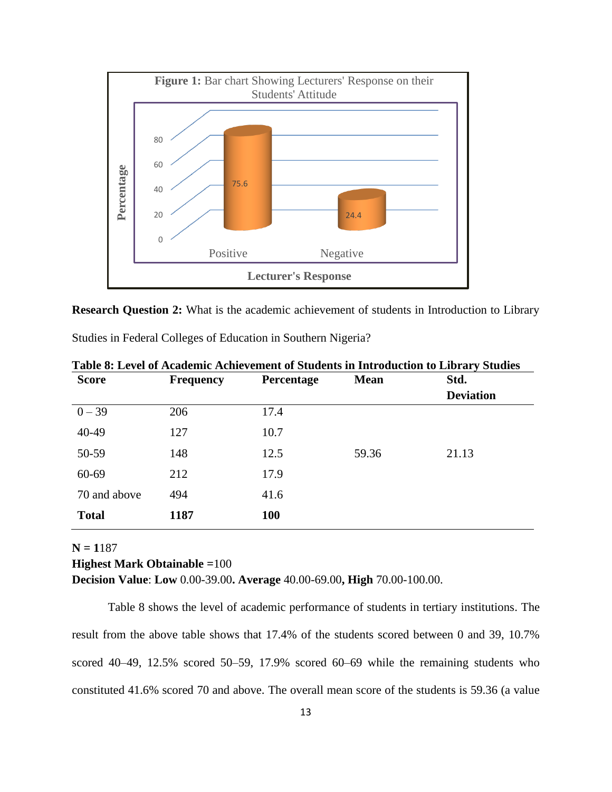

**Research Question 2:** What is the academic achievement of students in Introduction to Library

|  | Studies in Federal Colleges of Education in Southern Nigeria? |  |  |
|--|---------------------------------------------------------------|--|--|
|  |                                                               |  |  |

| <b>Score</b> | <b>Frequency</b> | Percentage | <b>Mean</b> | Std.             |
|--------------|------------------|------------|-------------|------------------|
|              |                  |            |             | <b>Deviation</b> |
| $0 - 39$     | 206              | 17.4       |             |                  |
| 40-49        | 127              | 10.7       |             |                  |
| 50-59        | 148              | 12.5       | 59.36       | 21.13            |
| 60-69        | 212              | 17.9       |             |                  |
| 70 and above | 494              | 41.6       |             |                  |
| <b>Total</b> | 1187             | 100        |             |                  |

**Table 8: Level of Academic Achievement of Students in Introduction to Library Studies** 

## **N = 1**187 **Highest Mark Obtainable =**100 **Decision Value**: **Low** 0.00-39.00**. Average** 40.00-69.00**, High** 70.00-100.00.

Table 8 shows the level of academic performance of students in tertiary institutions. The result from the above table shows that 17.4% of the students scored between 0 and 39, 10.7% scored 40–49, 12.5% scored 50–59, 17.9% scored 60–69 while the remaining students who constituted 41.6% scored 70 and above. The overall mean score of the students is 59.36 (a value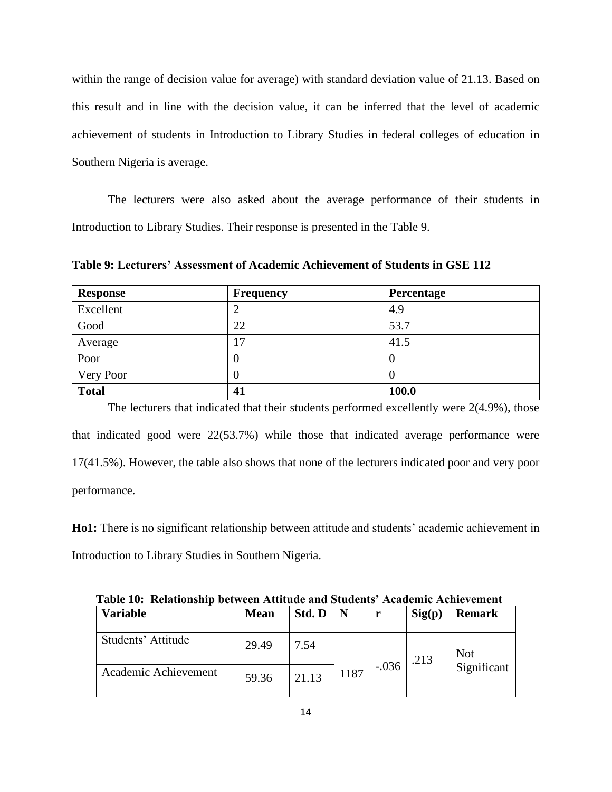within the range of decision value for average) with standard deviation value of 21.13. Based on this result and in line with the decision value, it can be inferred that the level of academic achievement of students in Introduction to Library Studies in federal colleges of education in Southern Nigeria is average.

The lecturers were also asked about the average performance of their students in Introduction to Library Studies. Their response is presented in the Table 9.

**Table 9: Lecturers' Assessment of Academic Achievement of Students in GSE 112**

| <b>Response</b> | <b>Frequency</b> | Percentage |
|-----------------|------------------|------------|
| Excellent       | ∠                | 4.9        |
| Good            | 22               | 53.7       |
| Average         | 17               | 41.5       |
| Poor            | U                | 0          |
| Very Poor       | O                |            |
| <b>Total</b>    | 41               | 100.0      |

The lecturers that indicated that their students performed excellently were 2(4.9%), those that indicated good were 22(53.7%) while those that indicated average performance were 17(41.5%). However, the table also shows that none of the lecturers indicated poor and very poor performance.

**Ho1:** There is no significant relationship between attitude and students' academic achievement in Introduction to Library Studies in Southern Nigeria.

| Table TV. Relationship between Attitude and Students Atauchilt Athlevellient |             |        |      |         |        |                           |  |  |  |  |
|------------------------------------------------------------------------------|-------------|--------|------|---------|--------|---------------------------|--|--|--|--|
| <b>Variable</b>                                                              | <b>Mean</b> | Std. D | N    | r       | Sig(p) | <b>Remark</b>             |  |  |  |  |
| Students' Attitude                                                           | 29.49       | 7.54   |      |         | .213   | <b>Not</b><br>Significant |  |  |  |  |
| Academic Achievement                                                         | 59.36       | 21.13  | 1187 | $-.036$ |        |                           |  |  |  |  |

**Table 10: Relationship between Attitude and Students' Academic Achievement**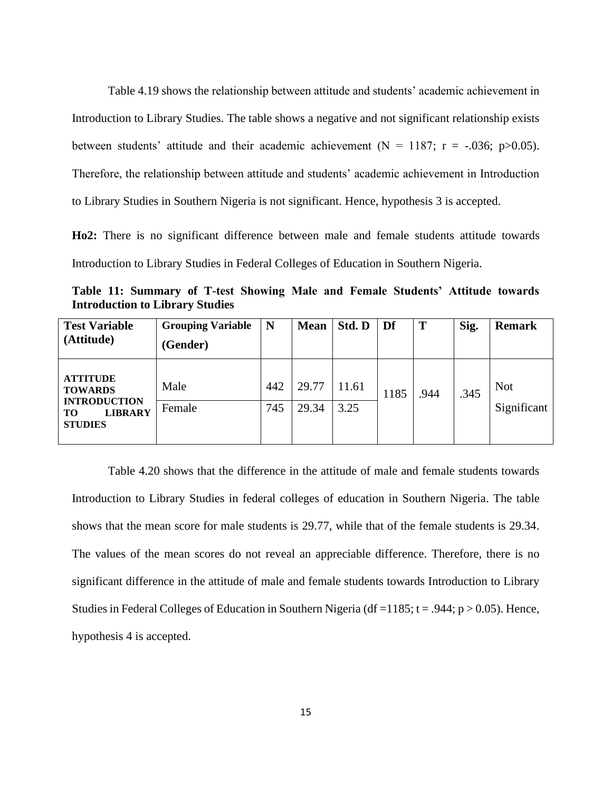Table 4.19 shows the relationship between attitude and students' academic achievement in Introduction to Library Studies. The table shows a negative and not significant relationship exists between students' attitude and their academic achievement ( $N = 1187$ ;  $r = -.036$ ; p $> 0.05$ ). Therefore, the relationship between attitude and students' academic achievement in Introduction to Library Studies in Southern Nigeria is not significant. Hence, hypothesis 3 is accepted.

**Ho2:** There is no significant difference between male and female students attitude towards Introduction to Library Studies in Federal Colleges of Education in Southern Nigeria.

**Table 11: Summary of T-test Showing Male and Female Students' Attitude towards Introduction to Library Studies**

| <b>Test Variable</b><br>(Attitude)                                                                 | <b>Grouping Variable</b><br>(Gender) | N   | <b>Mean</b> | Std. D | Df   | T    | Sig. | <b>Remark</b>             |
|----------------------------------------------------------------------------------------------------|--------------------------------------|-----|-------------|--------|------|------|------|---------------------------|
| <b>ATTITUDE</b><br><b>TOWARDS</b><br><b>INTRODUCTION</b><br><b>LIBRARY</b><br>TО<br><b>STUDIES</b> | Male                                 | 442 | 29.77       | 11.61  | 1185 | .944 | .345 | <b>Not</b><br>Significant |
|                                                                                                    | Female                               | 745 | 29.34       | 3.25   |      |      |      |                           |

Table 4.20 shows that the difference in the attitude of male and female students towards Introduction to Library Studies in federal colleges of education in Southern Nigeria. The table shows that the mean score for male students is 29.77, while that of the female students is 29.34. The values of the mean scores do not reveal an appreciable difference. Therefore, there is no significant difference in the attitude of male and female students towards Introduction to Library Studies in Federal Colleges of Education in Southern Nigeria (df = 1185;  $t = .944$ ;  $p > 0.05$ ). Hence, hypothesis 4 is accepted.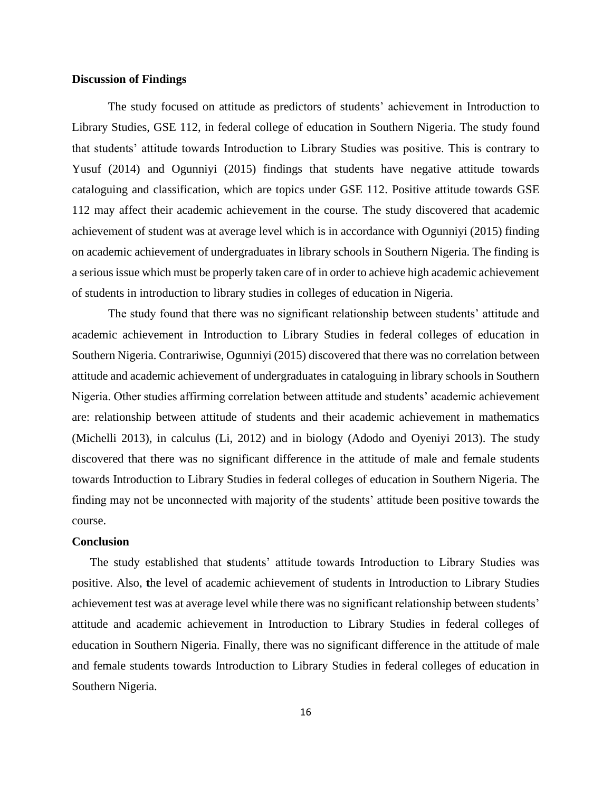#### **Discussion of Findings**

The study focused on attitude as predictors of students' achievement in Introduction to Library Studies, GSE 112, in federal college of education in Southern Nigeria. The study found that students' attitude towards Introduction to Library Studies was positive. This is contrary to Yusuf (2014) and Ogunniyi (2015) findings that students have negative attitude towards cataloguing and classification, which are topics under GSE 112. Positive attitude towards GSE 112 may affect their academic achievement in the course. The study discovered that academic achievement of student was at average level which is in accordance with Ogunniyi (2015) finding on academic achievement of undergraduates in library schools in Southern Nigeria. The finding is a serious issue which must be properly taken care of in order to achieve high academic achievement of students in introduction to library studies in colleges of education in Nigeria.

The study found that there was no significant relationship between students' attitude and academic achievement in Introduction to Library Studies in federal colleges of education in Southern Nigeria. Contrariwise, Ogunniyi (2015) discovered that there was no correlation between attitude and academic achievement of undergraduates in cataloguing in library schools in Southern Nigeria. Other studies affirming correlation between attitude and students' academic achievement are: relationship between attitude of students and their academic achievement in mathematics (Michelli 2013), in calculus (Li, 2012) and in biology (Adodo and Oyeniyi 2013). The study discovered that there was no significant difference in the attitude of male and female students towards Introduction to Library Studies in federal colleges of education in Southern Nigeria. The finding may not be unconnected with majority of the students' attitude been positive towards the course.

#### **Conclusion**

The study established that **s**tudents' attitude towards Introduction to Library Studies was positive. Also, **t**he level of academic achievement of students in Introduction to Library Studies achievement test was at average level while there was no significant relationship between students' attitude and academic achievement in Introduction to Library Studies in federal colleges of education in Southern Nigeria. Finally, there was no significant difference in the attitude of male and female students towards Introduction to Library Studies in federal colleges of education in Southern Nigeria.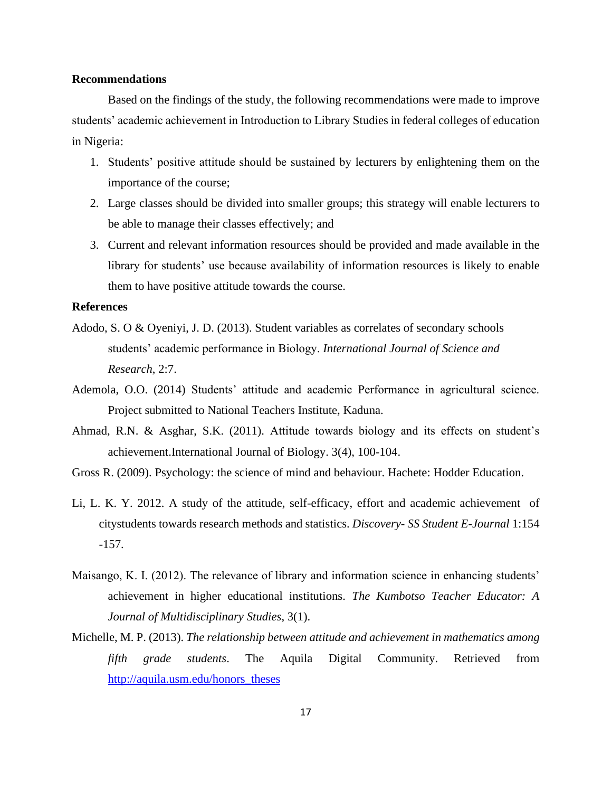#### **Recommendations**

Based on the findings of the study, the following recommendations were made to improve students' academic achievement in Introduction to Library Studies in federal colleges of education in Nigeria:

- 1. Students' positive attitude should be sustained by lecturers by enlightening them on the importance of the course;
- 2. Large classes should be divided into smaller groups; this strategy will enable lecturers to be able to manage their classes effectively; and
- 3. Current and relevant information resources should be provided and made available in the library for students' use because availability of information resources is likely to enable them to have positive attitude towards the course.

#### **References**

- Adodo, S. O & Oyeniyi, J. D. (2013). Student variables as correlates of secondary schools students' academic performance in Biology. *International Journal of Science and Research*, 2:7.
- Ademola, O.O. (2014) Students' attitude and academic Performance in agricultural science. Project submitted to National Teachers Institute, Kaduna.
- Ahmad, R.N. & Asghar, S.K. (2011). Attitude towards biology and its effects on student's achievement.International Journal of Biology. 3(4), 100-104.
- Gross R. (2009). Psychology: the science of mind and behaviour. Hachete: Hodder Education.
- Li, L. K. Y. 2012. A study of the attitude, self-efficacy, effort and academic achievement of citystudents towards research methods and statistics. *Discovery- SS Student E-Journal* 1:154 -157.
- Maisango, K. I. (2012). The relevance of library and information science in enhancing students' achievement in higher educational institutions. *The Kumbotso Teacher Educator: A Journal of Multidisciplinary Studies*, 3(1).
- Michelle, M. P. (2013). *The relationship between attitude and achievement in mathematics among fifth grade students*. The Aquila Digital Community. Retrieved from [http://aquila.usm.edu/honors\\_theses](http://aquila.usm.edu/honors_theses)